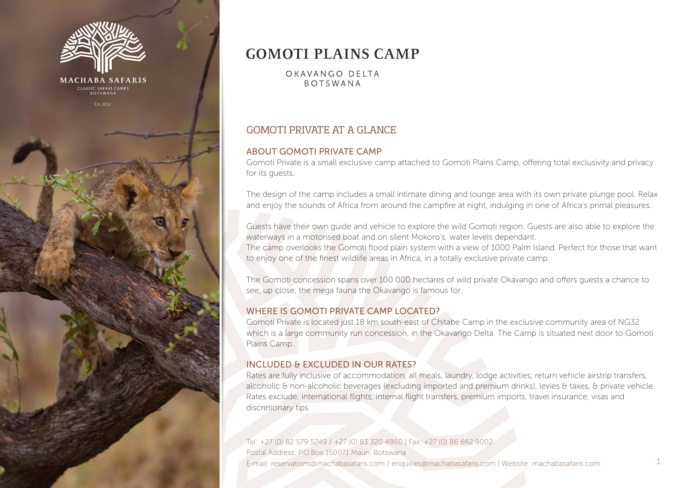

# **GOMOTI PLAINS CAMP**

OKAVANGO DELTA **ROTSWANA** 

# GOMOTI PRIVATE AT A GLANCE

### ABOUT GOMOTI PRIVATE CAMP

Gomoti Private is a small exclusive camp attached to Gomoti Plains Camp, offering total exclusivity and privacy for its quests.

The design of the camp includes a small intimate dining and lounge area with its own private plunge pool. Relax and enjoy the sounds of Africa from around the campfire at night, indulging in one of Africa's primal pleasures.

Guests have their own guide and vehicle to explore the wild Gomoti region. Guests are also able to explore the waterways in a motorised boat and on silent Mokoro's, water levels dependant.

The camp overlooks the Gomoti flood plain system with a view of 1000 Palm Island. Perfect for those that want to enjoy one of the finest wildlife areas in Africa, in a totally exclusive private camp.

The Gomoti concession spans over 100 000 hectares of wild private Okavango and offers guests a chance to see, up close, the mega fauna the Okavango is famous for.

#### WHERE IS GOMOTI PRIVATE CAMP LOCATED?

Gomoti Private is located just 18 km south-east of Chitabe Camp in the exclusive community area of NG32 which is a large community run concession, in the Okavango Delta. The Camp is situated next door to Gomoti Plains Camp.

#### INCLUDED & EXCLUDED IN OUR RATES?

Rates are fully inclusive of accommodation, all meals, laundry, lodge activities, return vehicle airstrip transfers, alcoholic & non-alcoholic beverages (excluding imported and premium drinks), levies & taxes, & private vehicle. Rates exclude, international flights, internal flight transfers, premium imports, travel insurance, visas and discretionary tips.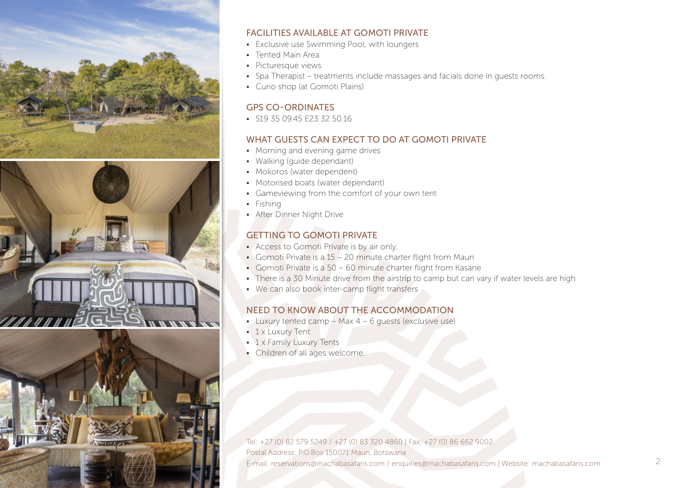



# FACILITIES AVAILABLE AT GOMOTI PRIVATE

- Exclusive use Swimming Pool, with loungers
- Tented Main Area
- Picturesque views
- Spa Therapist treatments include massages and facials done in guests rooms.
- Curio shop (at Gomoti Plains)

## GPS CO-ORDINATES

• S19 35 09 45 E23 32 50 16

# WHAT GUESTS CAN EXPECT TO DO AT GOMOTI PRIVATE

- Morning and evening game drives
- Walking (guide dependant)
- Mokoros (water dependent)
- Motorised boats (water dependant)
- Gameviewing from the comfort of your own tent
- Fishing
- After Dinner Night Drive

# GETTING TO GOMOTI PRIVATE

- Access to Gomoti Private is by air only.
- Gomoti Private is a 15 20 minute charter flight from Maun
- Gomoti Private is a 50 60 minute charter flight from Kasane
- There is a 30 Minute drive from the airstrip to camp but can vary if water levels are high
- We can also book inter-camp flight transfers

# NEED TO KNOW ABOUT THE ACCOMMODATION

- Luxury tented camp Max 4 6 guests (exclusive use)
- 1 x Luxury Tent
- 1 x Family Luxury Tents
- Children of all ages welcome.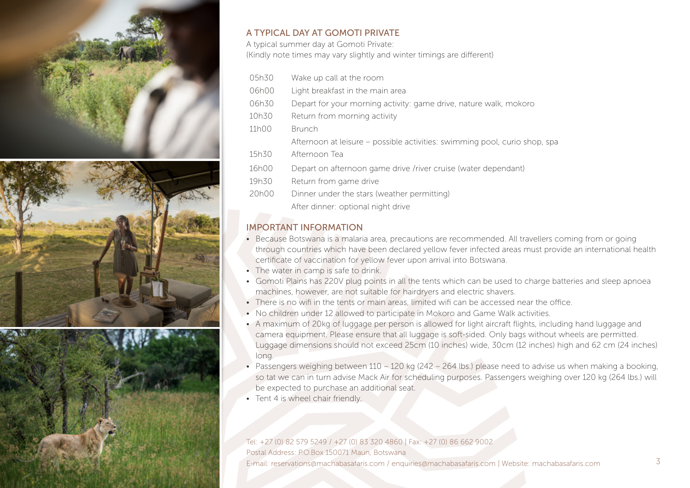





# A TYPICAL DAY AT GOMOTI PRIVATE

A typical summer day at Gomoti Private: (Kindly note times may vary slightly and winter timings are different)

- 05h30 Wake up call at the room 06h00 Light breakfast in the main area 06h30 Depart for your morning activity: game drive, nature walk, mokoro 10h30 Return from morning activity 11h00 Brunch Afternoon at leisure – possible activities: swimming pool, curio shop, spa 15h30 Afternoon Tea 16h00 Depart on afternoon game drive /river cruise (water dependant) 19h30 Return from game drive 20h00 Dinner under the stars (weather permitting)
	- After dinner: optional night drive

## IMPORTANT INFORMATION

- Because Botswana is a malaria area, precautions are recommended. All travellers coming from or going through countries which have been declared yellow fever infected areas must provide an international health certificate of vaccination for yellow fever upon arrival into Botswana.
- The water in camp is safe to drink.
- Gomoti Plains has 220V plug points in all the tents which can be used to charge batteries and sleep apnoea machines, however, are not suitable for hairdryers and electric shavers.
- There is no wifi in the tents or main areas, limited wifi can be accessed near the office.
- No children under 12 allowed to participate in Mokoro and Game Walk activities.
- A maximum of 20kg of luggage per person is allowed for light aircraft flights, including hand luggage and camera equipment. Please ensure that all luggage is soft-sided. Only bags without wheels are permitted. Luggage dimensions should not exceed 25cm (10 inches) wide, 30cm (12 inches) high and 62 cm (24 inches) long.
- Passengers weighing between 110 120 kg (242 264 lbs.) please need to advise us when making a booking, so tat we can in turn advise Mack Air for scheduling purposes. Passengers weighing over 120 kg (264 lbs.) will be expected to purchase an additional seat.
- Tent 4 is wheel chair friendly.